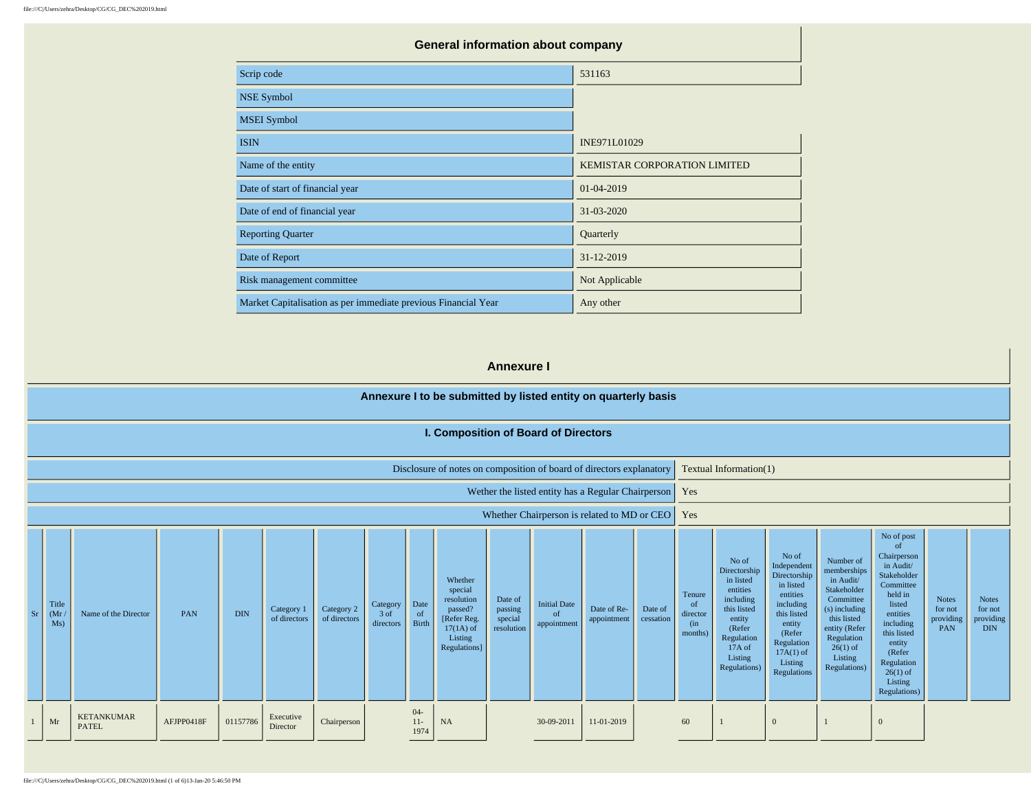|                                                                | <b>General information about company</b> |  |  |  |  |  |  |  |
|----------------------------------------------------------------|------------------------------------------|--|--|--|--|--|--|--|
| Scrip code                                                     | 531163                                   |  |  |  |  |  |  |  |
| <b>NSE Symbol</b>                                              |                                          |  |  |  |  |  |  |  |
| <b>MSEI</b> Symbol                                             |                                          |  |  |  |  |  |  |  |
| <b>ISIN</b>                                                    | INE971L01029                             |  |  |  |  |  |  |  |
| Name of the entity                                             | <b>KEMISTAR CORPORATION LIMITED</b>      |  |  |  |  |  |  |  |
| Date of start of financial year                                | 01-04-2019                               |  |  |  |  |  |  |  |
| Date of end of financial year                                  | 31-03-2020                               |  |  |  |  |  |  |  |
| <b>Reporting Quarter</b>                                       | Quarterly                                |  |  |  |  |  |  |  |
| Date of Report                                                 | 31-12-2019                               |  |  |  |  |  |  |  |
| Risk management committee                                      | Not Applicable                           |  |  |  |  |  |  |  |
| Market Capitalisation as per immediate previous Financial Year | Any other                                |  |  |  |  |  |  |  |

## **Annexure I**

|    |                      |                                   |            |            |                            |                            |                               |                         | Annexure I to be submitted by listed entity on quarterly basis                                       |                                             |                                                     |                                                    |                      |                                                       |                                                                                                                                                   |                                                                                                                                                                       |                                                                                                                                                                           |                                                                                                                                                                                                                  |                                             |                                                    |
|----|----------------------|-----------------------------------|------------|------------|----------------------------|----------------------------|-------------------------------|-------------------------|------------------------------------------------------------------------------------------------------|---------------------------------------------|-----------------------------------------------------|----------------------------------------------------|----------------------|-------------------------------------------------------|---------------------------------------------------------------------------------------------------------------------------------------------------|-----------------------------------------------------------------------------------------------------------------------------------------------------------------------|---------------------------------------------------------------------------------------------------------------------------------------------------------------------------|------------------------------------------------------------------------------------------------------------------------------------------------------------------------------------------------------------------|---------------------------------------------|----------------------------------------------------|
|    |                      |                                   |            |            |                            |                            |                               |                         | I. Composition of Board of Directors                                                                 |                                             |                                                     |                                                    |                      |                                                       |                                                                                                                                                   |                                                                                                                                                                       |                                                                                                                                                                           |                                                                                                                                                                                                                  |                                             |                                                    |
|    |                      |                                   |            |            |                            |                            |                               |                         | Disclosure of notes on composition of board of directors explanatory                                 |                                             |                                                     |                                                    |                      |                                                       | Textual Information(1)                                                                                                                            |                                                                                                                                                                       |                                                                                                                                                                           |                                                                                                                                                                                                                  |                                             |                                                    |
|    |                      |                                   |            |            |                            |                            |                               |                         |                                                                                                      |                                             |                                                     | Wether the listed entity has a Regular Chairperson |                      | Yes                                                   |                                                                                                                                                   |                                                                                                                                                                       |                                                                                                                                                                           |                                                                                                                                                                                                                  |                                             |                                                    |
|    |                      |                                   |            |            |                            |                            |                               |                         |                                                                                                      |                                             |                                                     | Whether Chairperson is related to MD or CEO        |                      | Yes                                                   |                                                                                                                                                   |                                                                                                                                                                       |                                                                                                                                                                           |                                                                                                                                                                                                                  |                                             |                                                    |
| Sr | Title<br>(Mr)<br>Ms) | Name of the Director              | PAN        | <b>DIN</b> | Category 1<br>of directors | Category 2<br>of directors | Category<br>3 of<br>directors | Date<br>- of<br>Birth   | Whether<br>special<br>resolution<br>passed?<br>[Refer Reg.<br>$17(1A)$ of<br>Listing<br>Regulations] | Date of<br>passing<br>special<br>resolution | <b>Initial Date</b><br><sub>of</sub><br>appointment | Date of Re-<br>appointment                         | Date of<br>cessation | Tenure<br><sub>of</sub><br>director<br>(in<br>months) | No of<br>Directorship<br>in listed<br>entities<br>including<br>this listed<br>entity<br>(Refer<br>Regulation<br>17A of<br>Listing<br>Regulations) | No of<br>Independent<br>Directorship<br>in listed<br>entities<br>including<br>this listed<br>entity<br>(Refer)<br>Regulation<br>$17A(1)$ of<br>Listing<br>Regulations | Number of<br>memberships<br>in Audit/<br>Stakeholder<br>Committee<br>(s) including<br>this listed<br>entity (Refer<br>Regulation<br>$26(1)$ of<br>Listing<br>Regulations) | No of post<br>of<br>Chairperson<br>in Audit/<br>Stakeholder<br>Committee<br>held in<br>listed<br>entities<br>including<br>this listed<br>entity<br>(Refer<br>Regulation<br>$26(1)$ of<br>Listing<br>Regulations) | <b>Notes</b><br>for not<br>providing<br>PAN | <b>Notes</b><br>for not<br>providing<br><b>DIN</b> |
|    | Mr                   | <b>KETANKUMAR</b><br><b>PATEL</b> | AFJPP0418F | 01157786   | Executive<br>Director      | Chairperson                |                               | $04 -$<br>$11-$<br>1974 | <b>NA</b>                                                                                            |                                             | 30-09-2011                                          | 11-01-2019                                         |                      | 60                                                    |                                                                                                                                                   | $\Omega$                                                                                                                                                              |                                                                                                                                                                           | $\mathbf{0}$                                                                                                                                                                                                     |                                             |                                                    |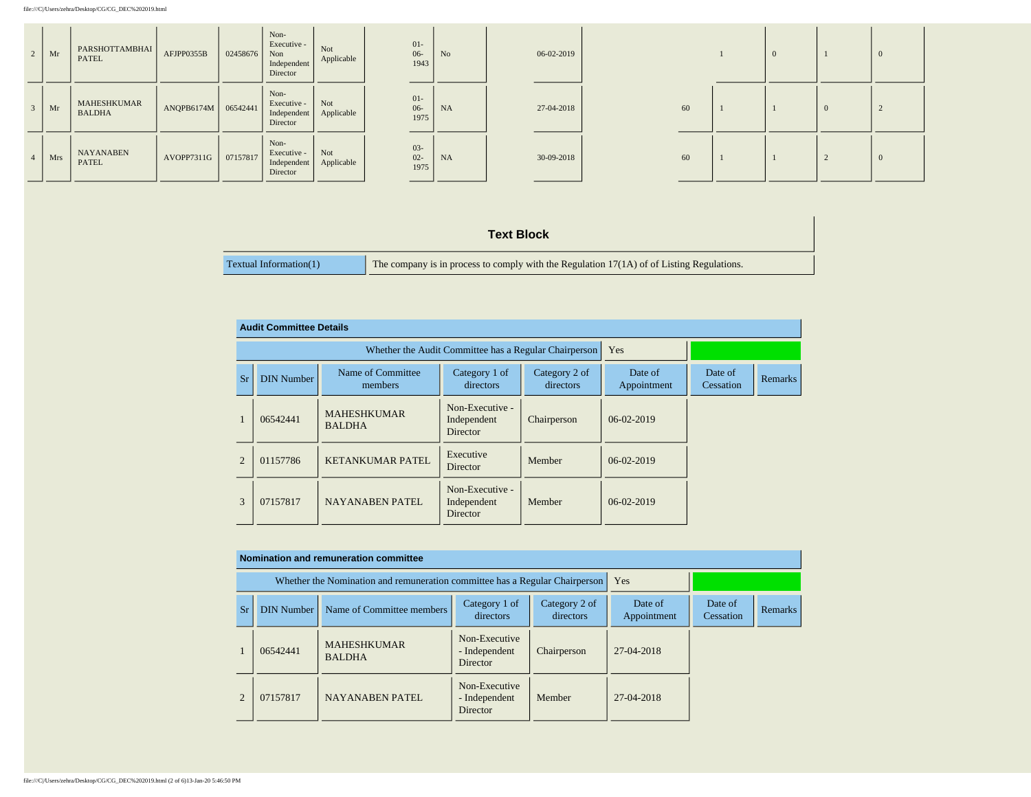| 2              | Mr  | PARSHOTTAMBHAI<br><b>PATEL</b>      | AFJPP0355B | 02458676 | Non-<br>Executive -<br>Non<br>Independent<br>Director | Not<br>Applicable | $01 -$<br>$06 -$<br>1943 | N <sub>o</sub> | 06-02-2019 |    |  |                |  |
|----------------|-----|-------------------------------------|------------|----------|-------------------------------------------------------|-------------------|--------------------------|----------------|------------|----|--|----------------|--|
| $\overline{3}$ | Mr  | <b>MAHESHKUMAR</b><br><b>BALDHA</b> | ANQPB6174M | 06542441 | Non-<br>Executive -<br>Independent<br>Director        | Not<br>Applicable | $01 -$<br>$06 -$<br>1975 | NA             | 27-04-2018 | 60 |  | $\overline{0}$ |  |
| $\overline{4}$ | Mrs | <b>NAYANABEN</b><br>PATEL           | AVOPP7311G | 07157817 | Non-<br>Executive -<br>Independent<br>Director        | Not<br>Applicable | $03 -$<br>$02 -$<br>1975 | NA             | 30-09-2018 | 60 |  | L              |  |

## **Text Block**

| Textual Information(1) | The company is in process to comply with the Regulation $17(1A)$ of of Listing Regulations. |
|------------------------|---------------------------------------------------------------------------------------------|
|                        |                                                                                             |

|                | <b>Audit Committee Details</b> |                                     |                                                       |                            |                        |                      |                |
|----------------|--------------------------------|-------------------------------------|-------------------------------------------------------|----------------------------|------------------------|----------------------|----------------|
|                |                                |                                     | Whether the Audit Committee has a Regular Chairperson |                            | Yes                    |                      |                |
| Sr             | <b>DIN Number</b>              | Name of Committee<br>members        | Category 1 of<br>directors                            | Category 2 of<br>directors | Date of<br>Appointment | Date of<br>Cessation | <b>Remarks</b> |
|                | 06542441                       | <b>MAHESHKUMAR</b><br><b>BALDHA</b> | Non-Executive -<br>Independent<br><b>Director</b>     | Chairperson                | 06-02-2019             |                      |                |
| $\overline{2}$ | 01157786                       | <b>KETANKUMAR PATEL</b>             | Executive<br>Director                                 | Member                     | 06-02-2019             |                      |                |
| 3              | 07157817                       | <b>NAYANABEN PATEL</b>              | Non-Executive -<br>Independent<br>Director            | Member                     | 06-02-2019             |                      |                |

|                |                   | Nomination and remuneration committee                                       |                                                   |                            |                        |                      |                |
|----------------|-------------------|-----------------------------------------------------------------------------|---------------------------------------------------|----------------------------|------------------------|----------------------|----------------|
|                |                   | Whether the Nomination and remuneration committee has a Regular Chairperson |                                                   |                            | Yes                    |                      |                |
| Sr             | <b>DIN Number</b> | Name of Committee members                                                   | Category 1 of<br>directors                        | Category 2 of<br>directors | Date of<br>Appointment | Date of<br>Cessation | <b>Remarks</b> |
|                | 06542441          | <b>MAHESHKUMAR</b><br><b>BALDHA</b>                                         | Non-Executive<br>- Independent<br>Director        | Chairperson                | 27-04-2018             |                      |                |
| $\mathfrak{D}$ | 07157817          | <b>NAYANABEN PATEL</b>                                                      | Non-Executive<br>- Independent<br><b>Director</b> | Member                     | 27-04-2018             |                      |                |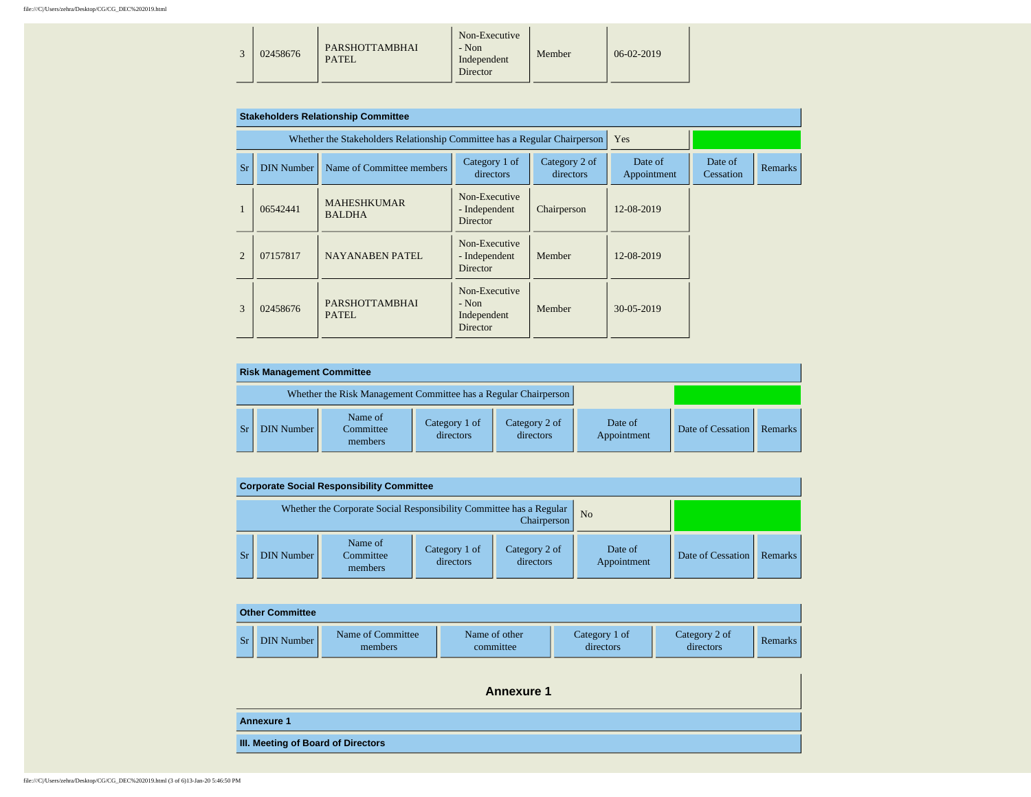|  | 02458676 | <b>PARSHOTTAMBHAI</b><br>PATEI. | Non-Executive<br>- Non<br>Independent<br>Director | Member | $06-02-2019$ |  |
|--|----------|---------------------------------|---------------------------------------------------|--------|--------------|--|
|--|----------|---------------------------------|---------------------------------------------------|--------|--------------|--|

|                |                   | <b>Stakeholders Relationship Committee</b>                                |                                                     |                            |                        |                      |                |
|----------------|-------------------|---------------------------------------------------------------------------|-----------------------------------------------------|----------------------------|------------------------|----------------------|----------------|
|                |                   | Whether the Stakeholders Relationship Committee has a Regular Chairperson |                                                     |                            | Yes                    |                      |                |
| <b>Sr</b>      | <b>DIN Number</b> | Name of Committee members                                                 | Category 1 of<br>directors                          | Category 2 of<br>directors | Date of<br>Appointment | Date of<br>Cessation | <b>Remarks</b> |
|                | 06542441          | <b>MAHESHKUMAR</b><br><b>BALDHA</b>                                       | Non-Executive<br>- Independent<br><b>Director</b>   | Chairperson                | 12-08-2019             |                      |                |
| $\mathfrak{D}$ | 07157817          | <b>NAYANABEN PATEL</b>                                                    | Non-Executive<br>- Independent<br><b>Director</b>   | Member                     | 12-08-2019             |                      |                |
| $\mathcal{R}$  | 02458676          | <b>PARSHOTTAMBHAI</b><br>PATEL.                                           | Non-Executive<br>$-$ Non<br>Independent<br>Director | Member                     | 30-05-2019             |                      |                |

| <b>Risk Management Committee</b> |                                                                 |                            |                            |                        |                   |         |
|----------------------------------|-----------------------------------------------------------------|----------------------------|----------------------------|------------------------|-------------------|---------|
|                                  | Whether the Risk Management Committee has a Regular Chairperson |                            |                            |                        |                   |         |
| <b>DIN Number</b>                | Name of<br>Committee<br>members                                 | Category 1 of<br>directors | Category 2 of<br>directors | Date of<br>Appointment | Date of Cessation | Remarks |

|                   | <b>Corporate Social Responsibility Committee</b>                    |                            |                            |                        |                   |         |
|-------------------|---------------------------------------------------------------------|----------------------------|----------------------------|------------------------|-------------------|---------|
|                   | Whether the Corporate Social Responsibility Committee has a Regular |                            | Chairperson                | N <sub>o</sub>         |                   |         |
| <b>DIN Number</b> | Name of<br>Committee<br>members                                     | Category 1 of<br>directors | Category 2 of<br>directors | Date of<br>Appointment | Date of Cessation | Remarks |

|    | <b>Other Committee</b> |                              |                            |                            |                            |                |
|----|------------------------|------------------------------|----------------------------|----------------------------|----------------------------|----------------|
| Sr | DIN Number             | Name of Committee<br>members | Name of other<br>committee | Category 1 of<br>directors | Category 2 of<br>directors | <b>Remarks</b> |

| <b>Annexure 1</b>                         |
|-------------------------------------------|
| <b>Annexure 1</b>                         |
| <b>III. Meeting of Board of Directors</b> |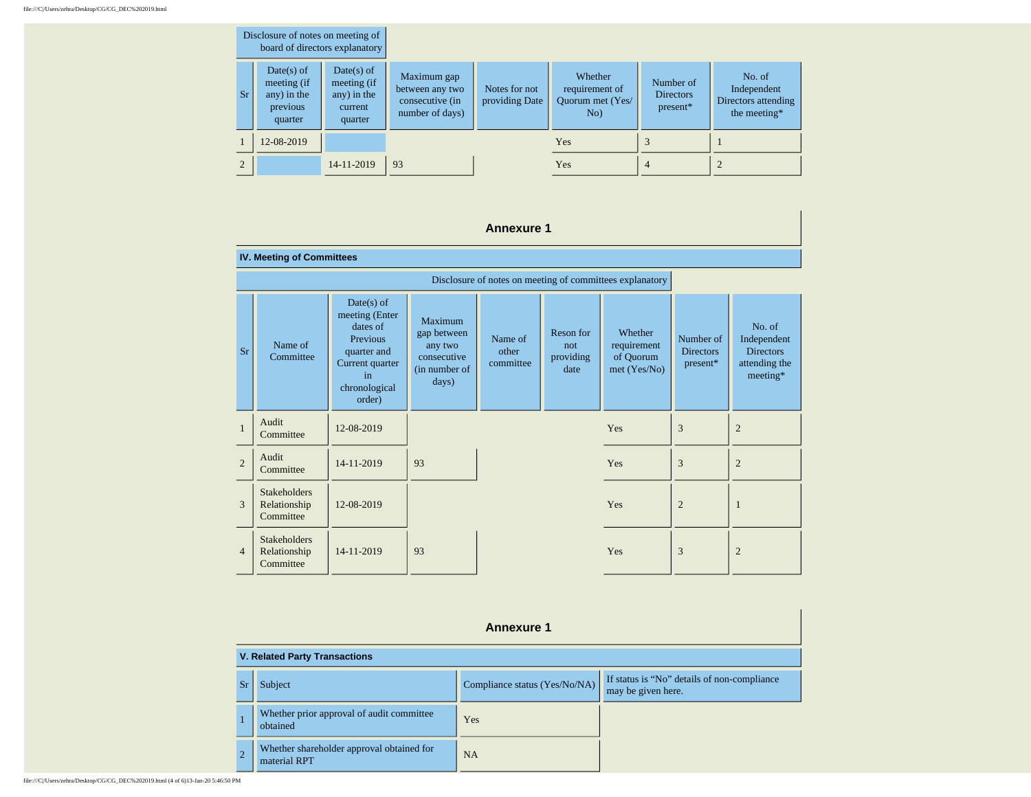| Disclosure of notes on meeting of<br>board of directors explanatory |                                                                   |                                                                  |                                                                      |                                 |                                                      |                                           |                                                              |
|---------------------------------------------------------------------|-------------------------------------------------------------------|------------------------------------------------------------------|----------------------------------------------------------------------|---------------------------------|------------------------------------------------------|-------------------------------------------|--------------------------------------------------------------|
| Sr.                                                                 | $Date(s)$ of<br>meeting (if<br>any) in the<br>previous<br>quarter | $Date(s)$ of<br>meeting (if<br>any) in the<br>current<br>quarter | Maximum gap<br>between any two<br>consecutive (in<br>number of days) | Notes for not<br>providing Date | Whether<br>requirement of<br>Ouorum met (Yes/<br>No) | Number of<br><b>Directors</b><br>present* | No. of<br>Independent<br>Directors attending<br>the meeting* |
|                                                                     | 12-08-2019                                                        |                                                                  |                                                                      |                                 | <b>Yes</b>                                           |                                           |                                                              |
| $\mathfrak{D}$                                                      |                                                                   | 14-11-2019                                                       | 93                                                                   |                                 | <b>Yes</b>                                           | $\overline{4}$                            | $\overline{2}$                                               |

## **Annexure 1**

## **IV. Meeting of Committees**

| Sr             | Name of<br>Committee                             | $Date(s)$ of<br>meeting (Enter<br>dates of<br>Previous<br>quarter and<br>Current quarter<br>in<br>chronological<br>order) | Maximum<br>gap between<br>any two<br>consecutive<br>(in number of<br>days) | Name of<br>other<br>committee | Reson for<br>not<br>providing<br>date | Whether<br>requirement<br>of Quorum<br>met (Yes/No) | Number of<br><b>Directors</b><br>present* | No. of<br>Independent<br><b>Directors</b><br>attending the<br>meeting* |
|----------------|--------------------------------------------------|---------------------------------------------------------------------------------------------------------------------------|----------------------------------------------------------------------------|-------------------------------|---------------------------------------|-----------------------------------------------------|-------------------------------------------|------------------------------------------------------------------------|
| $\mathbf{1}$   | Audit<br>Committee                               | 12-08-2019                                                                                                                |                                                                            |                               |                                       | Yes                                                 | 3                                         | $\overline{2}$                                                         |
| $\overline{c}$ | Audit<br>Committee                               | 14-11-2019                                                                                                                | 93                                                                         |                               |                                       | Yes                                                 | 3                                         | $\overline{2}$                                                         |
| 3              | <b>Stakeholders</b><br>Relationship<br>Committee | 12-08-2019                                                                                                                |                                                                            |                               |                                       | Yes                                                 | $\overline{c}$                            | ш                                                                      |
| $\overline{4}$ | <b>Stakeholders</b><br>Relationship<br>Committee | 14-11-2019                                                                                                                | 93                                                                         |                               |                                       | Yes                                                 | 3                                         | $\overline{2}$                                                         |

|  | Disclosure of notes on meeting of committees explanatory |  |
|--|----------------------------------------------------------|--|
|  |                                                          |  |

|           | <b>Annexure 1</b>                                         |                               |                                                                   |  |  |
|-----------|-----------------------------------------------------------|-------------------------------|-------------------------------------------------------------------|--|--|
|           | <b>V. Related Party Transactions</b>                      |                               |                                                                   |  |  |
| <b>Sr</b> | Subject                                                   | Compliance status (Yes/No/NA) | If status is "No" details of non-compliance<br>may be given here. |  |  |
|           | Whether prior approval of audit committee<br>obtained     | Yes                           |                                                                   |  |  |
|           | Whether shareholder approval obtained for<br>material RPT | <b>NA</b>                     |                                                                   |  |  |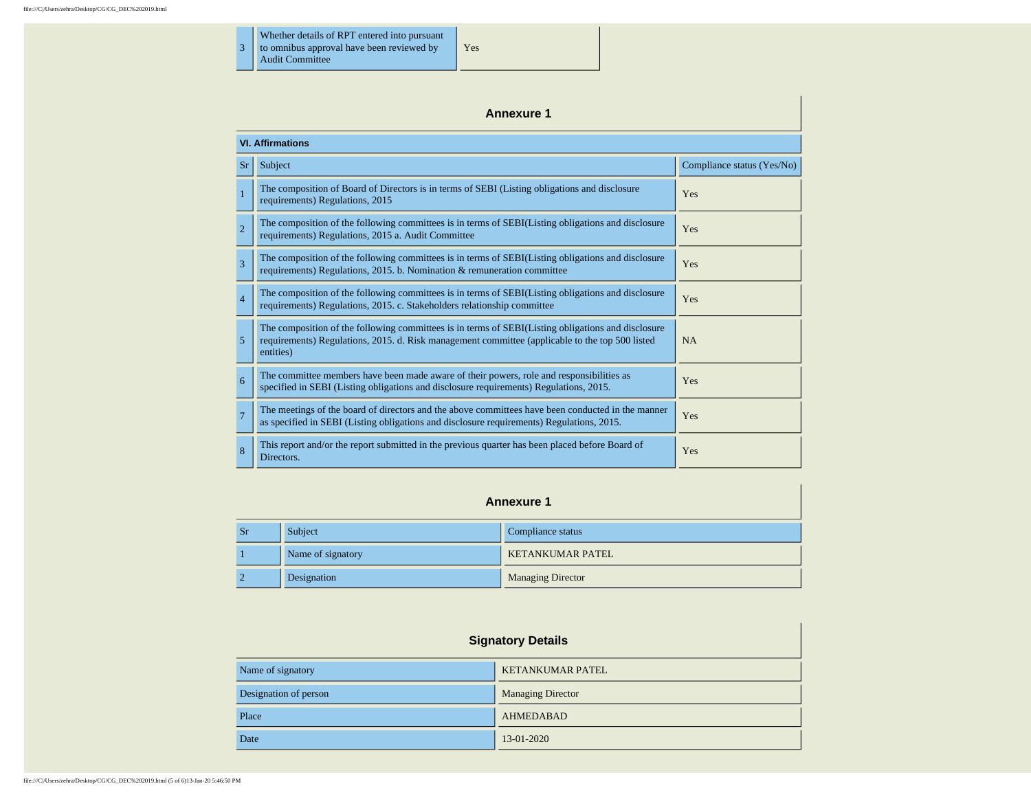3 Whether details of RPT entered into pursuant to omnibus approval have been reviewed by

Audit Committee

|                | <b>Annexure 1</b>                                                                                                                                                                                                  |                            |  |  |  |  |
|----------------|--------------------------------------------------------------------------------------------------------------------------------------------------------------------------------------------------------------------|----------------------------|--|--|--|--|
|                | <b>VI. Affirmations</b>                                                                                                                                                                                            |                            |  |  |  |  |
| <b>Sr</b>      | Subject                                                                                                                                                                                                            | Compliance status (Yes/No) |  |  |  |  |
|                | The composition of Board of Directors is in terms of SEBI (Listing obligations and disclosure<br>requirements) Regulations, 2015                                                                                   | Yes                        |  |  |  |  |
| $\overline{2}$ | The composition of the following committees is in terms of SEBI(Listing obligations and disclosure<br>requirements) Regulations, 2015 a. Audit Committee                                                           | Yes                        |  |  |  |  |
| 3              | The composition of the following committees is in terms of SEBI(Listing obligations and disclosure<br>requirements) Regulations, 2015. b. Nomination & remuneration committee                                      | Yes                        |  |  |  |  |
| $\overline{4}$ | The composition of the following committees is in terms of SEBI(Listing obligations and disclosure<br>requirements) Regulations, 2015. c. Stakeholders relationship committee                                      | Yes                        |  |  |  |  |
| 5              | The composition of the following committees is in terms of SEBI(Listing obligations and disclosure<br>requirements) Regulations, 2015. d. Risk management committee (applicable to the top 500 listed<br>entities) | <b>NA</b>                  |  |  |  |  |
| 6              | The committee members have been made aware of their powers, role and responsibilities as<br>specified in SEBI (Listing obligations and disclosure requirements) Regulations, 2015.                                 | Yes                        |  |  |  |  |
| $\overline{7}$ | The meetings of the board of directors and the above committees have been conducted in the manner<br>as specified in SEBI (Listing obligations and disclosure requirements) Regulations, 2015.                     | Yes                        |  |  |  |  |
| 8              | This report and/or the report submitted in the previous quarter has been placed before Board of<br>Directors.                                                                                                      | Yes                        |  |  |  |  |

Yes

|         | <b>Annexure 1</b> |                         |  |  |
|---------|-------------------|-------------------------|--|--|
| $S_{r}$ | Subject           | Compliance status       |  |  |
|         | Name of signatory | <b>KETANKUMAR PATEL</b> |  |  |

2 Designation **Designation** Managing Director

| <b>Signatory Details</b> |                          |  |
|--------------------------|--------------------------|--|
| Name of signatory        | <b>KETANKUMAR PATEL</b>  |  |
| Designation of person    | <b>Managing Director</b> |  |
| Place                    | <b>AHMEDABAD</b>         |  |
| Date                     | 13-01-2020               |  |